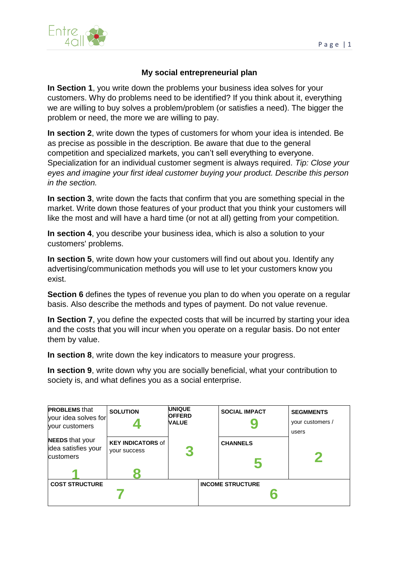

## **My social entrepreneurial plan**

**In Section 1**, you write down the problems your business idea solves for your customers. Why do problems need to be identified? If you think about it, everything we are willing to buy solves a problem/problem (or satisfies a need). The bigger the problem or need, the more we are willing to pay.

**In section 2**, write down the types of customers for whom your idea is intended. Be as precise as possible in the description. Be aware that due to the general competition and specialized markets, you can't sell everything to everyone. Specialization for an individual customer segment is always required. *Tip: Close your eyes and imagine your first ideal customer buying your product. Describe this person in the section.*

**In section 3**, write down the facts that confirm that you are something special in the market. Write down those features of your product that you think your customers will like the most and will have a hard time (or not at all) getting from your competition.

**In section 4**, you describe your business idea, which is also a solution to your customers' problems.

**In section 5**, write down how your customers will find out about you. Identify any advertising/communication methods you will use to let your customers know you exist.

**Section 6** defines the types of revenue you plan to do when you operate on a regular basis. Also describe the methods and types of payment. Do not value revenue.

**In Section 7**, you define the expected costs that will be incurred by starting your idea and the costs that you will incur when you operate on a regular basis. Do not enter them by value.

**In section 8**, write down the key indicators to measure your progress.

**In section 9**, write down why you are socially beneficial, what your contribution to society is, and what defines you as a social enterprise.

| <b>PROBLEMS</b> that<br>your idea solves for<br>your customers | <b>SOLUTION</b>                                 | <b>UNIQUE</b><br><b>OFFERD</b><br><b><i>NALUE</i></b> | <b>SOCIAL IMPACT</b>    | <b>SEGMMENTS</b><br>your customers / |
|----------------------------------------------------------------|-------------------------------------------------|-------------------------------------------------------|-------------------------|--------------------------------------|
| <b>NEEDS</b> that your<br>idea satisfies your<br>customers     | <b>KEY INDICATORS of</b><br><b>VOUL SUCCESS</b> |                                                       | <b>CHANNELS</b>         | users                                |
| <b>COST STRUCTURE</b>                                          |                                                 |                                                       | <b>INCOME STRUCTURE</b> |                                      |
|                                                                |                                                 |                                                       |                         |                                      |